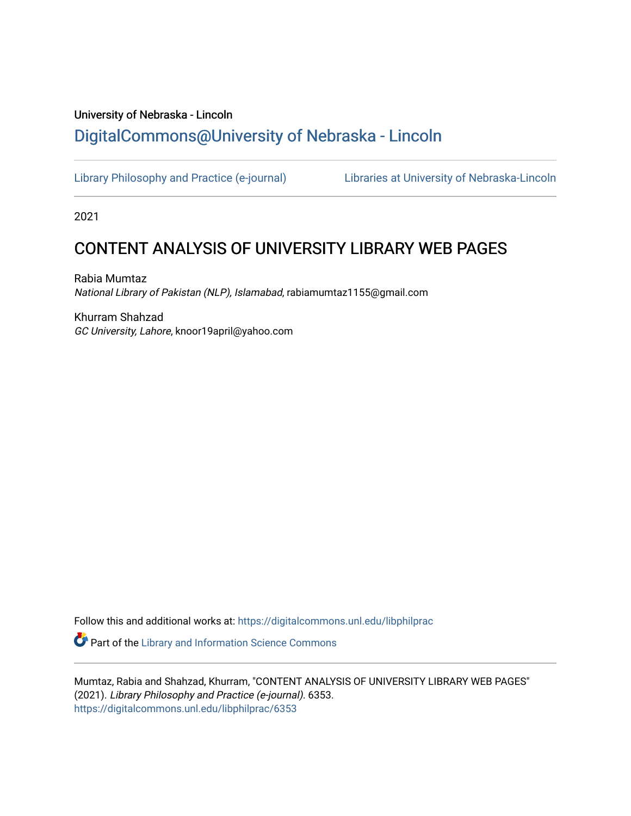## University of Nebraska - Lincoln [DigitalCommons@University of Nebraska - Lincoln](https://digitalcommons.unl.edu/)

[Library Philosophy and Practice \(e-journal\)](https://digitalcommons.unl.edu/libphilprac) [Libraries at University of Nebraska-Lincoln](https://digitalcommons.unl.edu/libraries) 

2021

## CONTENT ANALYSIS OF UNIVERSITY LIBRARY WEB PAGES

Rabia Mumtaz National Library of Pakistan (NLP), Islamabad, rabiamumtaz1155@gmail.com

Khurram Shahzad GC University, Lahore, knoor19april@yahoo.com

Follow this and additional works at: [https://digitalcommons.unl.edu/libphilprac](https://digitalcommons.unl.edu/libphilprac?utm_source=digitalcommons.unl.edu%2Flibphilprac%2F6353&utm_medium=PDF&utm_campaign=PDFCoverPages) 

**Part of the Library and Information Science Commons** 

Mumtaz, Rabia and Shahzad, Khurram, "CONTENT ANALYSIS OF UNIVERSITY LIBRARY WEB PAGES" (2021). Library Philosophy and Practice (e-journal). 6353. [https://digitalcommons.unl.edu/libphilprac/6353](https://digitalcommons.unl.edu/libphilprac/6353?utm_source=digitalcommons.unl.edu%2Flibphilprac%2F6353&utm_medium=PDF&utm_campaign=PDFCoverPages)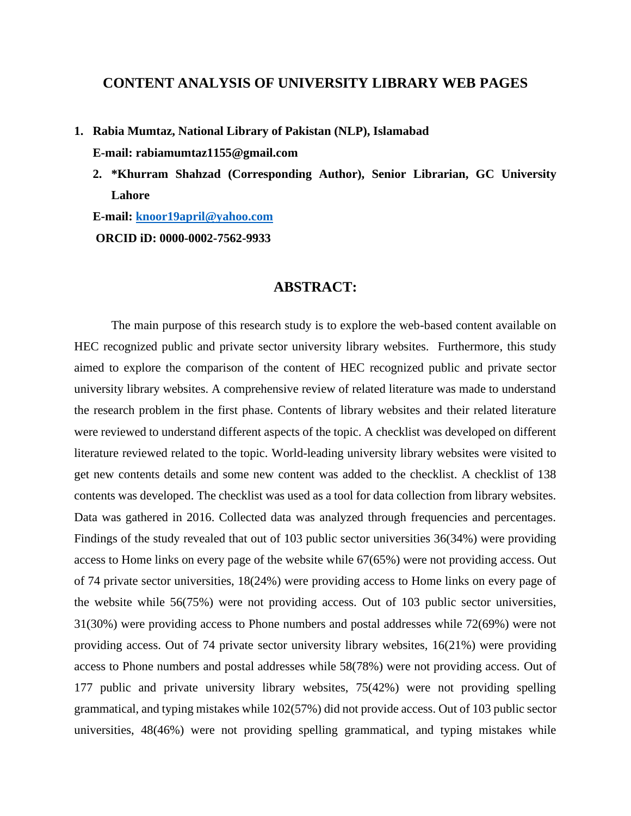## **CONTENT ANALYSIS OF UNIVERSITY LIBRARY WEB PAGES**

**1. Rabia Mumtaz, National Library of Pakistan (NLP), Islamabad** 

**E-mail: [rabiamumtaz1155@gmail.com](mailto:rabiamumtaz1155@gmail.com)**

**2. \*Khurram Shahzad (Corresponding Author), Senior Librarian, GC University Lahore**

**E-mail: [knoor19april@yahoo.com](mailto:knoor19april@yahoo.com) ORCID iD: 0000-0002-7562-9933**

## **ABSTRACT:**

The main purpose of this research study is to explore the web-based content available on HEC recognized public and private sector university library websites. Furthermore, this study aimed to explore the comparison of the content of HEC recognized public and private sector university library websites. A comprehensive review of related literature was made to understand the research problem in the first phase. Contents of library websites and their related literature were reviewed to understand different aspects of the topic. A checklist was developed on different literature reviewed related to the topic. World-leading university library websites were visited to get new contents details and some new content was added to the checklist. A checklist of 138 contents was developed. The checklist was used as a tool for data collection from library websites. Data was gathered in 2016. Collected data was analyzed through frequencies and percentages. Findings of the study revealed that out of 103 public sector universities 36(34%) were providing access to Home links on every page of the website while 67(65%) were not providing access. Out of 74 private sector universities, 18(24%) were providing access to Home links on every page of the website while 56(75%) were not providing access. Out of 103 public sector universities, 31(30%) were providing access to Phone numbers and postal addresses while 72(69%) were not providing access. Out of 74 private sector university library websites, 16(21%) were providing access to Phone numbers and postal addresses while 58(78%) were not providing access. Out of 177 public and private university library websites, 75(42%) were not providing spelling grammatical, and typing mistakes while 102(57%) did not provide access. Out of 103 public sector universities, 48(46%) were not providing spelling grammatical, and typing mistakes while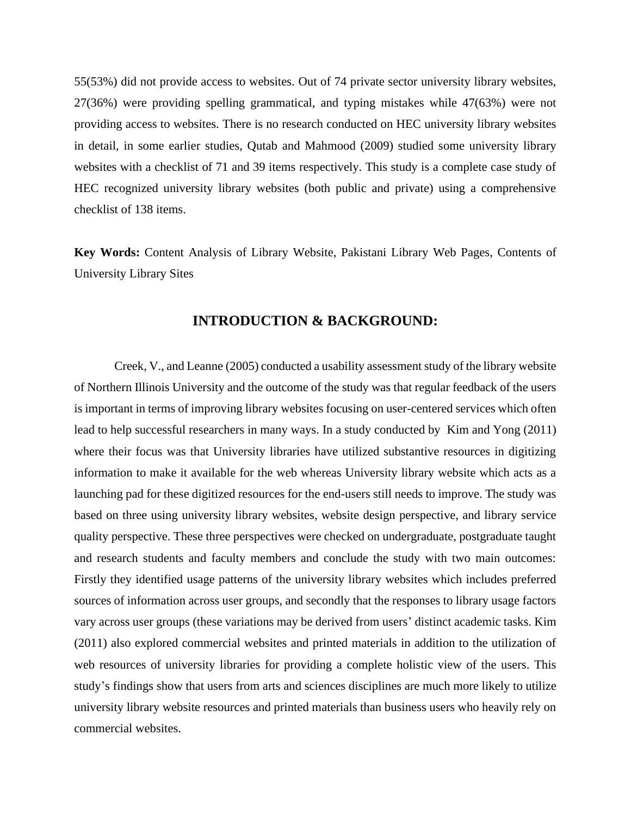55(53%) did not provide access to websites. Out of 74 private sector university library websites, 27(36%) were providing spelling grammatical, and typing mistakes while 47(63%) were not providing access to websites. There is no research conducted on HEC university library websites in detail, in some earlier studies, Qutab and Mahmood (2009) studied some university library websites with a checklist of 71 and 39 items respectively. This study is a complete case study of HEC recognized university library websites (both public and private) using a comprehensive checklist of 138 items.

**Key Words:** Content Analysis of Library Website, Pakistani Library Web Pages, Contents of University Library Sites

### **INTRODUCTION & BACKGROUND:**

Creek, V., and Leanne (2005) conducted a usability assessment study of the library website of Northern Illinois University and the outcome of the study was that regular feedback of the users is important in terms of improving library websites focusing on user-centered services which often lead to help successful researchers in many ways. In a study conducted by Kim and Yong (2011) where their focus was that University libraries have utilized substantive resources in digitizing information to make it available for the web whereas University library website which acts as a launching pad for these digitized resources for the end-users still needs to improve. The study was based on three using university library websites, website design perspective, and library service quality perspective. These three perspectives were checked on undergraduate, postgraduate taught and research students and faculty members and conclude the study with two main outcomes: Firstly they identified usage patterns of the university library websites which includes preferred sources of information across user groups, and secondly that the responses to library usage factors vary across user groups (these variations may be derived from users' distinct academic tasks. Kim (2011) also explored commercial websites and printed materials in addition to the utilization of web resources of university libraries for providing a complete holistic view of the users. This study's findings show that users from arts and sciences disciplines are much more likely to utilize university library website resources and printed materials than business users who heavily rely on commercial websites.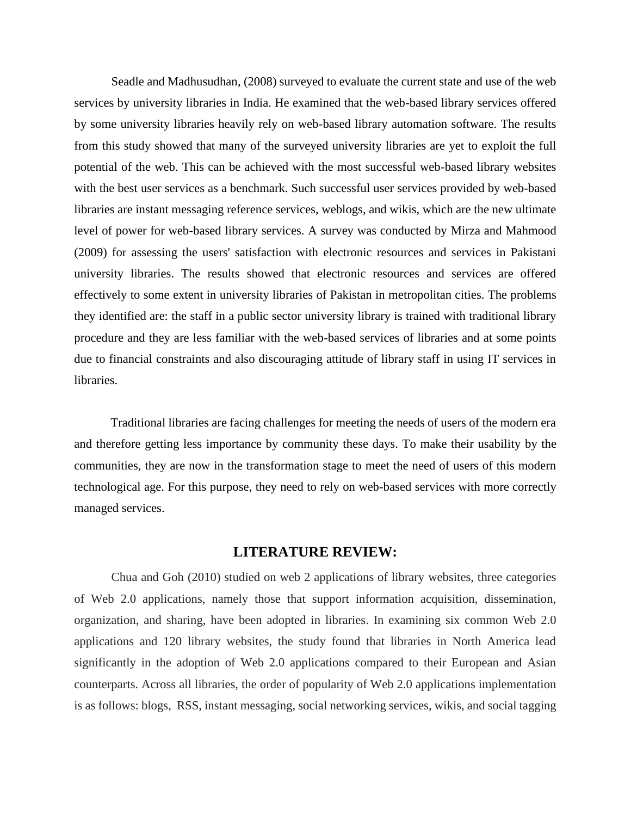Seadle and Madhusudhan, (2008) surveyed to evaluate the current state and use of the web services by university libraries in India. He examined that the web-based library services offered by some university libraries heavily rely on web-based library automation software. The results from this study showed that many of the surveyed university libraries are yet to exploit the full potential of the web. This can be achieved with the most successful web-based library websites with the best user services as a benchmark. Such successful user services provided by web-based libraries are instant messaging reference services, weblogs, and wikis, which are the new ultimate level of power for web-based library services. A survey was conducted by Mirza and Mahmood (2009) for assessing the users' satisfaction with electronic resources and services in Pakistani university libraries. The results showed that electronic resources and services are offered effectively to some extent in university libraries of Pakistan in metropolitan cities. The problems they identified are: the staff in a public sector university library is trained with traditional library procedure and they are less familiar with the web-based services of libraries and at some points due to financial constraints and also discouraging attitude of library staff in using IT services in libraries.

Traditional libraries are facing challenges for meeting the needs of users of the modern era and therefore getting less importance by community these days. To make their usability by the communities, they are now in the transformation stage to meet the need of users of this modern technological age. For this purpose, they need to rely on web-based services with more correctly managed services.

#### **LITERATURE REVIEW:**

Chua and Goh (2010) studied on web 2 applications of library websites, three categories of Web 2.0 applications, namely those that support information acquisition, dissemination, organization, and sharing, have been adopted in libraries. In examining six common Web 2.0 applications and 120 library websites, the study found that libraries in North America lead significantly in the adoption of Web 2.0 applications compared to their European and Asian counterparts. Across all libraries, the order of popularity of Web 2.0 applications implementation is as follows: blogs, RSS, instant messaging, social networking services, wikis, and social tagging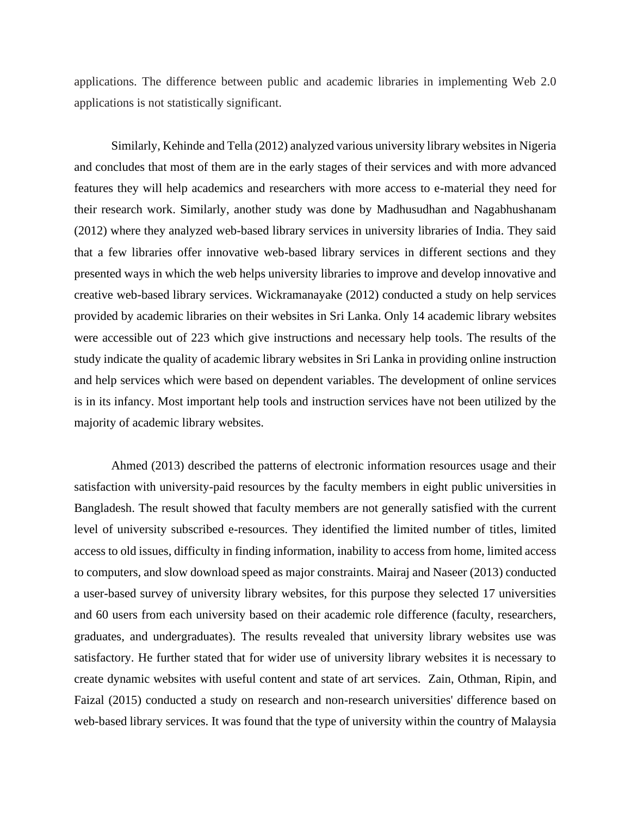applications. The difference between public and academic libraries in implementing Web 2.0 applications is not statistically significant.

Similarly, Kehinde and Tella (2012) analyzed various university library websites in Nigeria and concludes that most of them are in the early stages of their services and with more advanced features they will help academics and researchers with more access to e-material they need for their research work. Similarly, another study was done by Madhusudhan and Nagabhushanam (2012) where they analyzed web-based library services in university libraries of India. They said that a few libraries offer innovative web-based library services in different sections and they presented ways in which the web helps university libraries to improve and develop innovative and creative web-based library services. Wickramanayake (2012) conducted a study on help services provided by academic libraries on their websites in Sri Lanka. Only 14 academic library websites were accessible out of 223 which give instructions and necessary help tools. The results of the study indicate the quality of academic library websites in Sri Lanka in providing online instruction and help services which were based on dependent variables. The development of online services is in its infancy. Most important help tools and instruction services have not been utilized by the majority of academic library websites.

Ahmed (2013) described the patterns of electronic information resources usage and their satisfaction with university-paid resources by the faculty members in eight public universities in Bangladesh. The result showed that faculty members are not generally satisfied with the current level of university subscribed e-resources. They identified the limited number of titles, limited access to old issues, difficulty in finding information, inability to access from home, limited access to computers, and slow download speed as major constraints. Mairaj and Naseer (2013) conducted a user-based survey of university library websites, for this purpose they selected 17 universities and 60 users from each university based on their academic role difference (faculty, researchers, graduates, and undergraduates). The results revealed that university library websites use was satisfactory. He further stated that for wider use of university library websites it is necessary to create dynamic websites with useful content and state of art services. Zain, Othman, Ripin, and Faizal (2015) conducted a study on research and non-research universities' difference based on web-based library services. It was found that the type of university within the country of Malaysia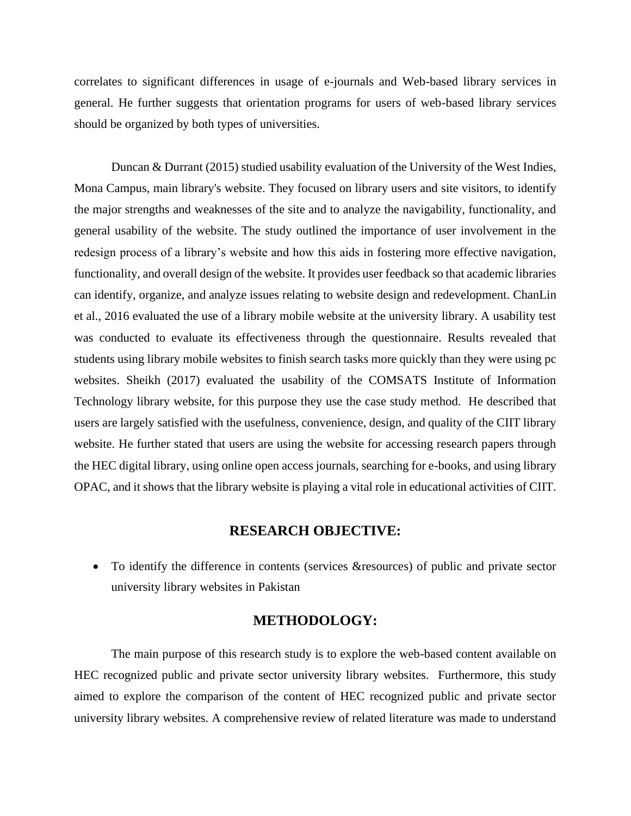correlates to significant differences in usage of e-journals and Web-based library services in general. He further suggests that orientation programs for users of web-based library services should be organized by both types of universities.

Duncan & Durrant (2015) studied usability evaluation of the University of the West Indies, Mona Campus, main library's website. They focused on library users and site visitors, to identify the major strengths and weaknesses of the site and to analyze the navigability, functionality, and general usability of the website. The study outlined the importance of user involvement in the redesign process of a library's website and how this aids in fostering more effective navigation, functionality, and overall design of the website. It provides user feedback so that academic libraries can identify, organize, and analyze issues relating to website design and redevelopment. ChanLin et al., 2016 evaluated the use of a library mobile website at the university library. A usability test was conducted to evaluate its effectiveness through the questionnaire. Results revealed that students using library mobile websites to finish search tasks more quickly than they were using pc websites. Sheikh (2017) evaluated the usability of the COMSATS Institute of Information Technology library website, for this purpose they use the case study method. He described that users are largely satisfied with the usefulness, convenience, design, and quality of the CIIT library website. He further stated that users are using the website for accessing research papers through the HEC digital library, using online open access journals, searching for e-books, and using library OPAC, and it shows that the library website is playing a vital role in educational activities of CIIT.

### **RESEARCH OBJECTIVE:**

• To identify the difference in contents (services &resources) of public and private sector university library websites in Pakistan

### **METHODOLOGY:**

The main purpose of this research study is to explore the web-based content available on HEC recognized public and private sector university library websites. Furthermore, this study aimed to explore the comparison of the content of HEC recognized public and private sector university library websites. A comprehensive review of related literature was made to understand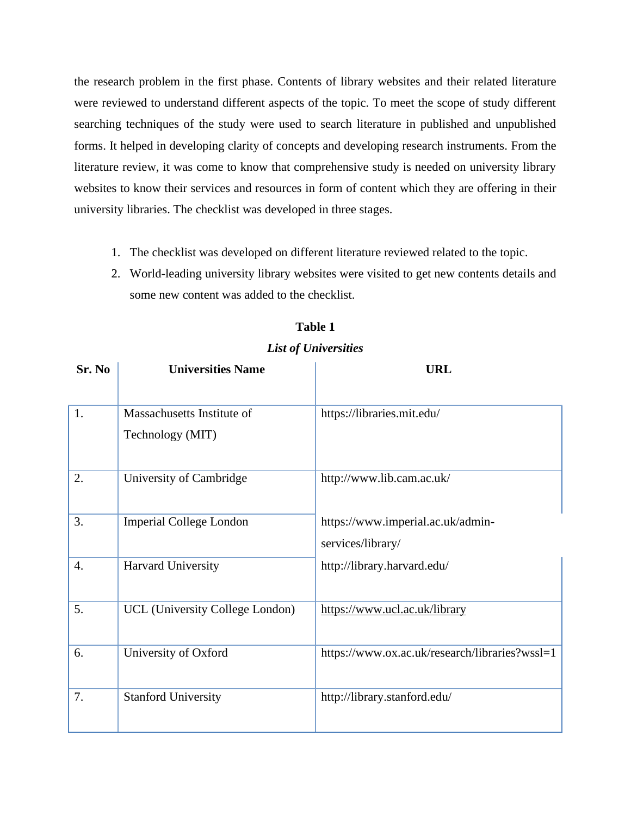the research problem in the first phase. Contents of library websites and their related literature were reviewed to understand different aspects of the topic. To meet the scope of study different searching techniques of the study were used to search literature in published and unpublished forms. It helped in developing clarity of concepts and developing research instruments. From the literature review, it was come to know that comprehensive study is needed on university library websites to know their services and resources in form of content which they are offering in their university libraries. The checklist was developed in three stages.

- 1. The checklist was developed on different literature reviewed related to the topic.
- 2. World-leading university library websites were visited to get new contents details and some new content was added to the checklist.

#### *List of Universities*

| Sr. No           | <b>Universities Name</b>                       | <b>URL</b>                                             |  |  |  |  |  |
|------------------|------------------------------------------------|--------------------------------------------------------|--|--|--|--|--|
| 1.               | Massachusetts Institute of<br>Technology (MIT) | https://libraries.mit.edu/                             |  |  |  |  |  |
| 2.               | University of Cambridge                        | http://www.lib.cam.ac.uk/                              |  |  |  |  |  |
| 3.               | <b>Imperial College London</b>                 | https://www.imperial.ac.uk/admin-<br>services/library/ |  |  |  |  |  |
| $\overline{4}$ . | Harvard University                             | http://library.harvard.edu/                            |  |  |  |  |  |
| 5.               | UCL (University College London)                | https://www.ucl.ac.uk/library                          |  |  |  |  |  |
| 6.               | University of Oxford                           | https://www.ox.ac.uk/research/libraries?wssl=1         |  |  |  |  |  |
| 7.               | <b>Stanford University</b>                     | http://library.stanford.edu/                           |  |  |  |  |  |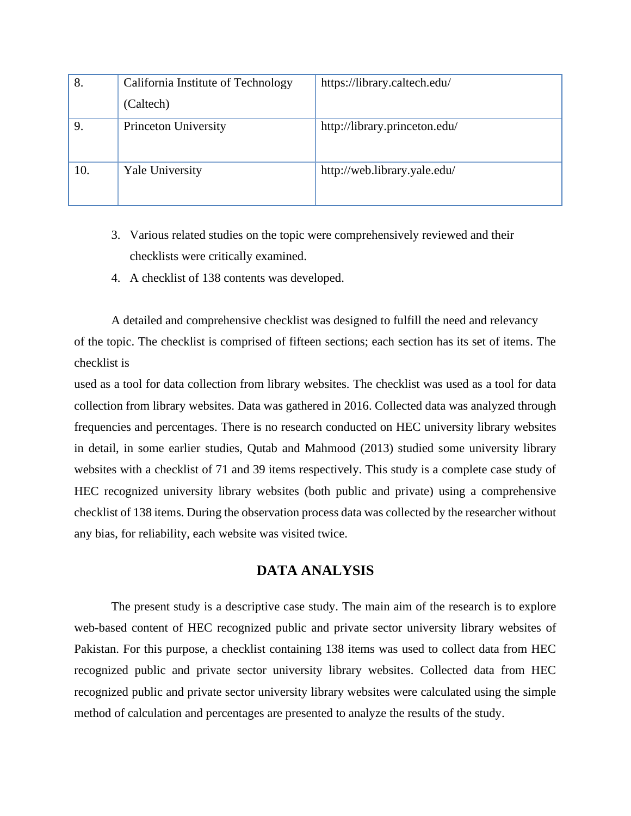| 8.  | California Institute of Technology | https://library.caltech.edu/  |
|-----|------------------------------------|-------------------------------|
|     | (Caltech)                          |                               |
| 9.  | Princeton University               | http://library.princeton.edu/ |
| 10. | <b>Yale University</b>             | http://web.library.yale.edu/  |

- 3. Various related studies on the topic were comprehensively reviewed and their checklists were critically examined.
- 4. A checklist of 138 contents was developed.

A detailed and comprehensive checklist was designed to fulfill the need and relevancy of the topic. The checklist is comprised of fifteen sections; each section has its set of items. The checklist is

used as a tool for data collection from library websites. The checklist was used as a tool for data collection from library websites. Data was gathered in 2016. Collected data was analyzed through frequencies and percentages. There is no research conducted on HEC university library websites in detail, in some earlier studies, Qutab and Mahmood (2013) studied some university library websites with a checklist of 71 and 39 items respectively. This study is a complete case study of HEC recognized university library websites (both public and private) using a comprehensive checklist of 138 items. During the observation process data was collected by the researcher without any bias, for reliability, each website was visited twice.

## **DATA ANALYSIS**

The present study is a descriptive case study. The main aim of the research is to explore web-based content of HEC recognized public and private sector university library websites of Pakistan. For this purpose, a checklist containing 138 items was used to collect data from HEC recognized public and private sector university library websites. Collected data from HEC recognized public and private sector university library websites were calculated using the simple method of calculation and percentages are presented to analyze the results of the study.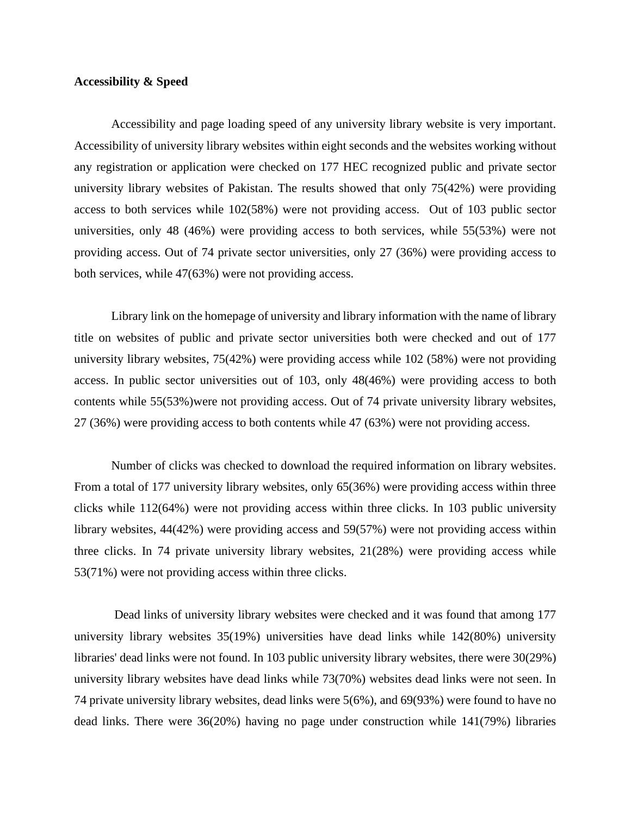#### **Accessibility & Speed**

Accessibility and page loading speed of any university library website is very important. Accessibility of university library websites within eight seconds and the websites working without any registration or application were checked on 177 HEC recognized public and private sector university library websites of Pakistan. The results showed that only 75(42%) were providing access to both services while 102(58%) were not providing access. Out of 103 public sector universities, only 48 (46%) were providing access to both services, while 55(53%) were not providing access. Out of 74 private sector universities, only 27 (36%) were providing access to both services, while 47(63%) were not providing access.

Library link on the homepage of university and library information with the name of library title on websites of public and private sector universities both were checked and out of 177 university library websites, 75(42%) were providing access while 102 (58%) were not providing access. In public sector universities out of 103, only 48(46%) were providing access to both contents while 55(53%)were not providing access. Out of 74 private university library websites, 27 (36%) were providing access to both contents while 47 (63%) were not providing access.

Number of clicks was checked to download the required information on library websites. From a total of 177 university library websites, only 65(36%) were providing access within three clicks while 112(64%) were not providing access within three clicks. In 103 public university library websites, 44(42%) were providing access and 59(57%) were not providing access within three clicks. In 74 private university library websites, 21(28%) were providing access while 53(71%) were not providing access within three clicks.

Dead links of university library websites were checked and it was found that among 177 university library websites 35(19%) universities have dead links while 142(80%) university libraries' dead links were not found. In 103 public university library websites, there were 30(29%) university library websites have dead links while 73(70%) websites dead links were not seen. In 74 private university library websites, dead links were 5(6%), and 69(93%) were found to have no dead links. There were 36(20%) having no page under construction while 141(79%) libraries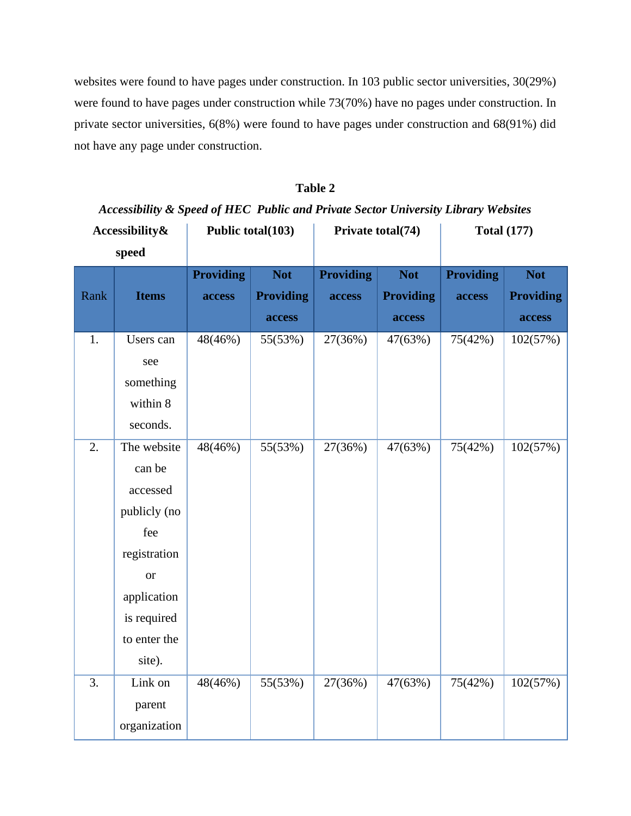websites were found to have pages under construction. In 103 public sector universities, 30(29%) were found to have pages under construction while 73(70%) have no pages under construction. In private sector universities, 6(8%) were found to have pages under construction and 68(91%) did not have any page under construction.

## **Table 2**

## *Accessibility & Speed of HEC Public and Private Sector University Library Websites*

| Accessibility&   |              | Public total(103) |                  | Private total(74) |                  | <b>Total (177)</b> |                  |
|------------------|--------------|-------------------|------------------|-------------------|------------------|--------------------|------------------|
|                  | speed        |                   |                  |                   |                  |                    |                  |
|                  |              | <b>Providing</b>  | <b>Not</b>       | <b>Providing</b>  | <b>Not</b>       | <b>Providing</b>   | <b>Not</b>       |
| Rank             | <b>Items</b> | access            | <b>Providing</b> | access            | <b>Providing</b> | access             | <b>Providing</b> |
|                  |              |                   | access           |                   | access           |                    | access           |
| 1.               | Users can    | 48(46%)           | 55(53%)          | 27(36%)           | 47(63%)          | 75(42%)            | 102(57%)         |
|                  | see          |                   |                  |                   |                  |                    |                  |
|                  | something    |                   |                  |                   |                  |                    |                  |
|                  | within 8     |                   |                  |                   |                  |                    |                  |
|                  | seconds.     |                   |                  |                   |                  |                    |                  |
| $\overline{2}$ . | The website  | 48(46%)           | 55(53%)          | 27(36%)           | 47(63%)          | 75(42%)            | 102(57%)         |
|                  | can be       |                   |                  |                   |                  |                    |                  |
|                  | accessed     |                   |                  |                   |                  |                    |                  |
|                  | publicly (no |                   |                  |                   |                  |                    |                  |
|                  | fee          |                   |                  |                   |                  |                    |                  |
|                  | registration |                   |                  |                   |                  |                    |                  |
|                  | <b>or</b>    |                   |                  |                   |                  |                    |                  |
|                  | application  |                   |                  |                   |                  |                    |                  |
|                  | is required  |                   |                  |                   |                  |                    |                  |
|                  | to enter the |                   |                  |                   |                  |                    |                  |
|                  | site).       |                   |                  |                   |                  |                    |                  |
| 3.               | Link on      | 48(46%)           | 55(53%)          | 27(36%)           | 47(63%)          | 75(42%)            | 102(57%)         |
|                  | parent       |                   |                  |                   |                  |                    |                  |
|                  | organization |                   |                  |                   |                  |                    |                  |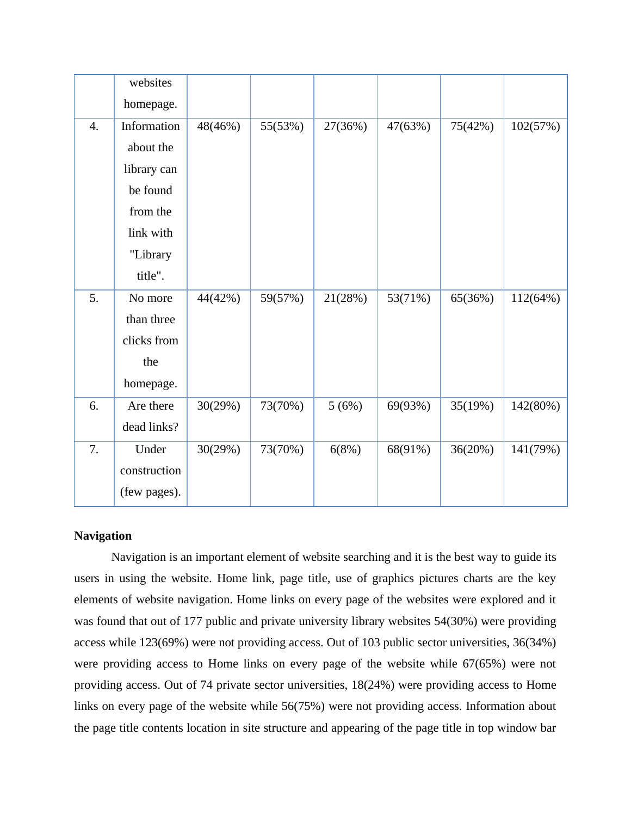|                  | websites     |         |         |         |         |         |          |
|------------------|--------------|---------|---------|---------|---------|---------|----------|
|                  | homepage.    |         |         |         |         |         |          |
| $\overline{4}$ . | Information  | 48(46%) | 55(53%) | 27(36%) | 47(63%) | 75(42%) | 102(57%) |
|                  | about the    |         |         |         |         |         |          |
|                  | library can  |         |         |         |         |         |          |
|                  | be found     |         |         |         |         |         |          |
|                  | from the     |         |         |         |         |         |          |
|                  | link with    |         |         |         |         |         |          |
|                  | "Library     |         |         |         |         |         |          |
|                  | title".      |         |         |         |         |         |          |
| 5.               | No more      | 44(42%) | 59(57%) | 21(28%) | 53(71%) | 65(36%) | 112(64%) |
|                  | than three   |         |         |         |         |         |          |
|                  | clicks from  |         |         |         |         |         |          |
|                  | the          |         |         |         |         |         |          |
|                  | homepage.    |         |         |         |         |         |          |
| 6.               | Are there    | 30(29%) | 73(70%) | 5(6%)   | 69(93%) | 35(19%) | 142(80%) |
|                  | dead links?  |         |         |         |         |         |          |
| 7.               | Under        | 30(29%) | 73(70%) | 6(8%)   | 68(91%) | 36(20%) | 141(79%) |
|                  | construction |         |         |         |         |         |          |
|                  | (few pages). |         |         |         |         |         |          |

### **Navigation**

Navigation is an important element of website searching and it is the best way to guide its users in using the website. Home link, page title, use of graphics pictures charts are the key elements of website navigation. Home links on every page of the websites were explored and it was found that out of 177 public and private university library websites 54(30%) were providing access while 123(69%) were not providing access. Out of 103 public sector universities, 36(34%) were providing access to Home links on every page of the website while 67(65%) were not providing access. Out of 74 private sector universities, 18(24%) were providing access to Home links on every page of the website while 56(75%) were not providing access. Information about the page title contents location in site structure and appearing of the page title in top window bar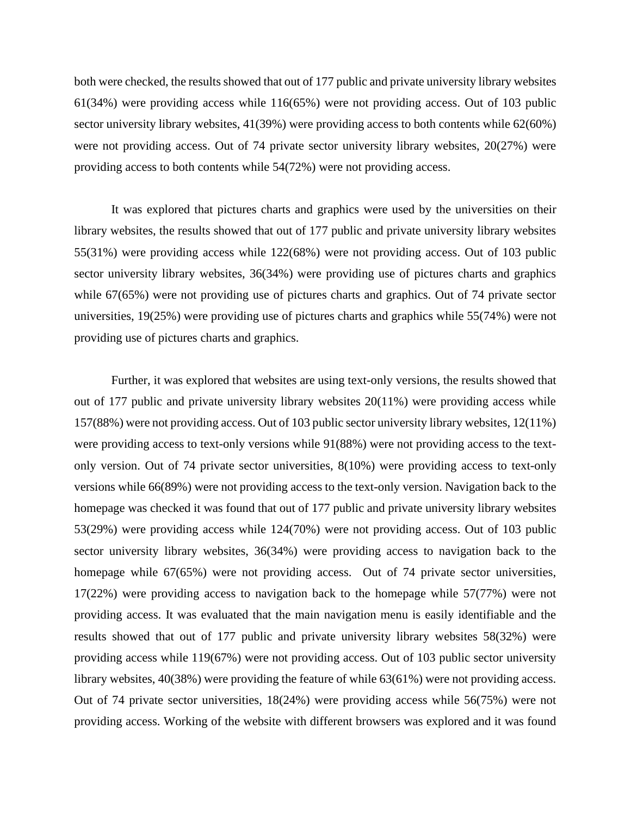both were checked, the results showed that out of 177 public and private university library websites 61(34%) were providing access while 116(65%) were not providing access. Out of 103 public sector university library websites, 41(39%) were providing access to both contents while 62(60%) were not providing access. Out of 74 private sector university library websites, 20(27%) were providing access to both contents while 54(72%) were not providing access.

It was explored that pictures charts and graphics were used by the universities on their library websites, the results showed that out of 177 public and private university library websites 55(31%) were providing access while 122(68%) were not providing access. Out of 103 public sector university library websites, 36(34%) were providing use of pictures charts and graphics while 67(65%) were not providing use of pictures charts and graphics. Out of 74 private sector universities, 19(25%) were providing use of pictures charts and graphics while 55(74%) were not providing use of pictures charts and graphics.

Further, it was explored that websites are using text-only versions, the results showed that out of 177 public and private university library websites 20(11%) were providing access while 157(88%) were not providing access. Out of 103 public sector university library websites, 12(11%) were providing access to text-only versions while 91(88%) were not providing access to the textonly version. Out of 74 private sector universities, 8(10%) were providing access to text-only versions while 66(89%) were not providing access to the text-only version. Navigation back to the homepage was checked it was found that out of 177 public and private university library websites 53(29%) were providing access while 124(70%) were not providing access. Out of 103 public sector university library websites, 36(34%) were providing access to navigation back to the homepage while 67(65%) were not providing access. Out of 74 private sector universities, 17(22%) were providing access to navigation back to the homepage while 57(77%) were not providing access. It was evaluated that the main navigation menu is easily identifiable and the results showed that out of 177 public and private university library websites 58(32%) were providing access while 119(67%) were not providing access. Out of 103 public sector university library websites, 40(38%) were providing the feature of while 63(61%) were not providing access. Out of 74 private sector universities, 18(24%) were providing access while 56(75%) were not providing access. Working of the website with different browsers was explored and it was found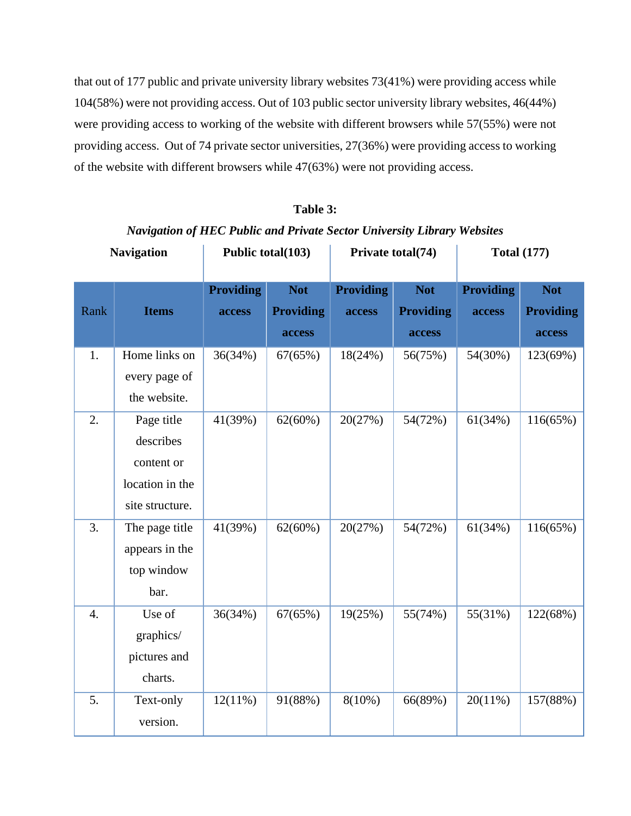that out of 177 public and private university library websites 73(41%) were providing access while 104(58%) were not providing access. Out of 103 public sector university library websites, 46(44%) were providing access to working of the website with different browsers while 57(55%) were not providing access. Out of 74 private sector universities, 27(36%) were providing access to working of the website with different browsers while 47(63%) were not providing access.

|                  | <b>Navigation</b>                                                           | Public total(103)          |                                          | Private total(74)          |                                          | <b>Total (177)</b>         |                                          |
|------------------|-----------------------------------------------------------------------------|----------------------------|------------------------------------------|----------------------------|------------------------------------------|----------------------------|------------------------------------------|
| Rank             | <b>Items</b>                                                                | <b>Providing</b><br>access | <b>Not</b><br><b>Providing</b><br>access | <b>Providing</b><br>access | <b>Not</b><br><b>Providing</b><br>access | <b>Providing</b><br>access | <b>Not</b><br><b>Providing</b><br>access |
| 1.               | Home links on<br>every page of<br>the website.                              | 36(34%)                    | 67(65%)                                  | 18(24%)                    | 56(75%)                                  | 54(30%)                    | 123(69%)                                 |
| 2.               | Page title<br>describes<br>content or<br>location in the<br>site structure. | 41(39%)                    | 62(60%)                                  | 20(27%)                    | 54(72%)                                  | 61(34%)                    | 116(65%)                                 |
| 3.               | The page title<br>appears in the<br>top window<br>bar.                      | 41(39%)                    | $62(60\%)$                               | 20(27%)                    | 54(72%)                                  | 61(34%)                    | 116(65%)                                 |
| $\overline{4}$ . | Use of<br>graphics/<br>pictures and<br>charts.                              | 36(34%)                    | 67(65%)                                  | 19(25%)                    | 55(74%)                                  | 55(31%)                    | 122(68%)                                 |
| 5.               | Text-only<br>version.                                                       | 12(11%)                    | 91(88%)                                  | $8(10\%)$                  | 66(89%)                                  | 20(11%)                    | 157(88%)                                 |

**Table 3:** *Navigation of HEC Public and Private Sector University Library Websites*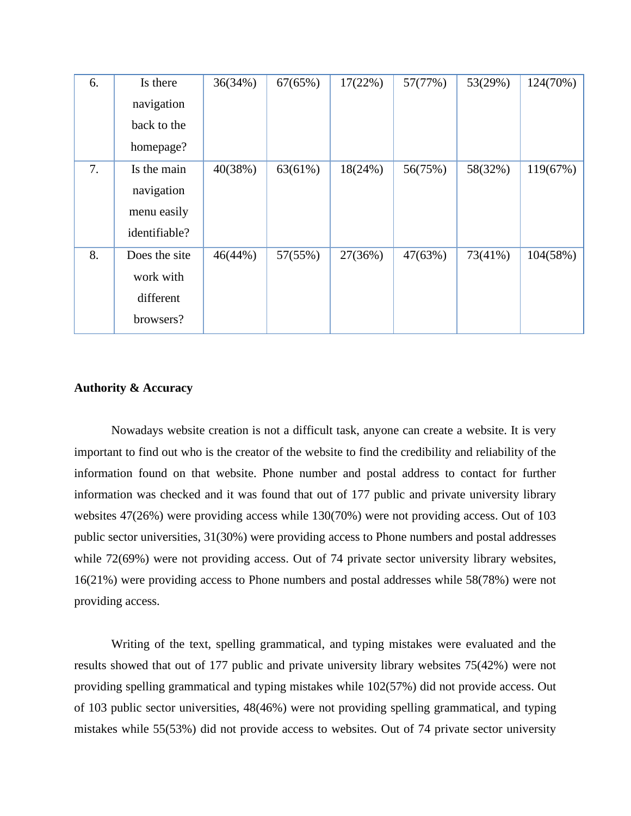| 6. | Is there      | 36(34%) | 67(65%) | 17(22%) | 57(77%) | 53(29%)    | 124(70%) |
|----|---------------|---------|---------|---------|---------|------------|----------|
|    | navigation    |         |         |         |         |            |          |
|    | back to the   |         |         |         |         |            |          |
|    | homepage?     |         |         |         |         |            |          |
| 7. | Is the main   | 40(38%) | 63(61%) | 18(24%) | 56(75%) | 58(32%)    | 119(67%) |
|    | navigation    |         |         |         |         |            |          |
|    | menu easily   |         |         |         |         |            |          |
|    | identifiable? |         |         |         |         |            |          |
| 8. | Does the site | 46(44%) | 57(55%) | 27(36%) | 47(63%) | $73(41\%)$ | 104(58%) |
|    | work with     |         |         |         |         |            |          |
|    | different     |         |         |         |         |            |          |
|    | browsers?     |         |         |         |         |            |          |

### **Authority & Accuracy**

Nowadays website creation is not a difficult task, anyone can create a website. It is very important to find out who is the creator of the website to find the credibility and reliability of the information found on that website. Phone number and postal address to contact for further information was checked and it was found that out of 177 public and private university library websites 47(26%) were providing access while 130(70%) were not providing access. Out of 103 public sector universities, 31(30%) were providing access to Phone numbers and postal addresses while 72(69%) were not providing access. Out of 74 private sector university library websites, 16(21%) were providing access to Phone numbers and postal addresses while 58(78%) were not providing access.

Writing of the text, spelling grammatical, and typing mistakes were evaluated and the results showed that out of 177 public and private university library websites 75(42%) were not providing spelling grammatical and typing mistakes while 102(57%) did not provide access. Out of 103 public sector universities, 48(46%) were not providing spelling grammatical, and typing mistakes while 55(53%) did not provide access to websites. Out of 74 private sector university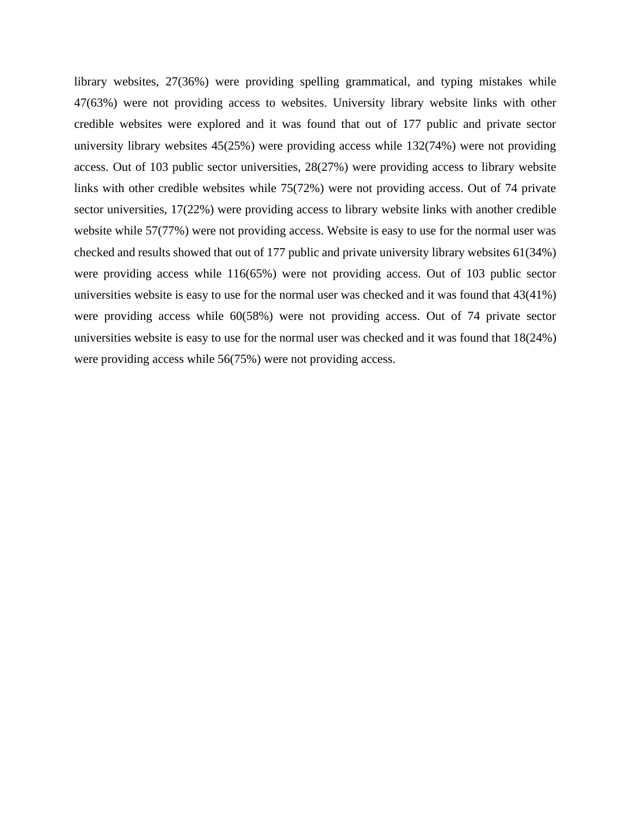library websites, 27(36%) were providing spelling grammatical, and typing mistakes while 47(63%) were not providing access to websites. University library website links with other credible websites were explored and it was found that out of 177 public and private sector university library websites 45(25%) were providing access while 132(74%) were not providing access. Out of 103 public sector universities, 28(27%) were providing access to library website links with other credible websites while 75(72%) were not providing access. Out of 74 private sector universities, 17(22%) were providing access to library website links with another credible website while 57(77%) were not providing access. Website is easy to use for the normal user was checked and results showed that out of 177 public and private university library websites 61(34%) were providing access while 116(65%) were not providing access. Out of 103 public sector universities website is easy to use for the normal user was checked and it was found that 43(41%) were providing access while 60(58%) were not providing access. Out of 74 private sector universities website is easy to use for the normal user was checked and it was found that 18(24%) were providing access while 56(75%) were not providing access.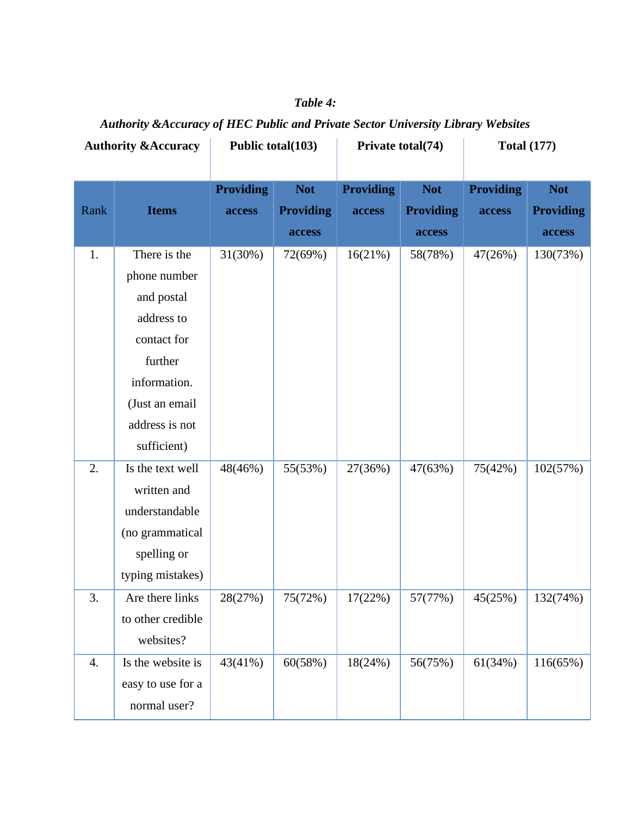| <b>Authority &amp; Accuracy</b> |                   | Public total(103)          |                                | Private total(74)          |                                | <b>Total (177)</b>         |                                |
|---------------------------------|-------------------|----------------------------|--------------------------------|----------------------------|--------------------------------|----------------------------|--------------------------------|
| Rank                            | <b>Items</b>      | <b>Providing</b><br>access | <b>Not</b><br><b>Providing</b> | <b>Providing</b><br>access | <b>Not</b><br><b>Providing</b> | <b>Providing</b><br>access | <b>Not</b><br><b>Providing</b> |
|                                 |                   |                            | access                         |                            | access                         |                            | access                         |
| 1.                              | There is the      | 31(30%)                    | 72(69%)                        | 16(21%)                    | 58(78%)                        | 47(26%)                    | 130(73%)                       |
|                                 | phone number      |                            |                                |                            |                                |                            |                                |
|                                 | and postal        |                            |                                |                            |                                |                            |                                |
|                                 | address to        |                            |                                |                            |                                |                            |                                |
|                                 | contact for       |                            |                                |                            |                                |                            |                                |
|                                 | further           |                            |                                |                            |                                |                            |                                |
|                                 | information.      |                            |                                |                            |                                |                            |                                |
|                                 | (Just an email    |                            |                                |                            |                                |                            |                                |
|                                 | address is not    |                            |                                |                            |                                |                            |                                |
|                                 | sufficient)       |                            |                                |                            |                                |                            |                                |
| 2.                              | Is the text well  | 48(46%)                    | 55(53%)                        | 27(36%)                    | 47(63%)                        | 75(42%)                    | 102(57%)                       |
|                                 | written and       |                            |                                |                            |                                |                            |                                |
|                                 | understandable    |                            |                                |                            |                                |                            |                                |
|                                 | (no grammatical   |                            |                                |                            |                                |                            |                                |
|                                 | spelling or       |                            |                                |                            |                                |                            |                                |
|                                 | typing mistakes)  |                            |                                |                            |                                |                            |                                |
| 3.                              | Are there links   | 28(27%)                    | 75(72%)                        | 17(22%)                    | 57(77%)                        | 45(25%)                    | 132(74%)                       |
|                                 | to other credible |                            |                                |                            |                                |                            |                                |
|                                 | websites?         |                            |                                |                            |                                |                            |                                |
| 4.                              | Is the website is | 43(41%)                    | 60(58%)                        | 18(24%)                    | 56(75%)                        | 61(34%)                    | 116(65%)                       |
|                                 | easy to use for a |                            |                                |                            |                                |                            |                                |
|                                 | normal user?      |                            |                                |                            |                                |                            |                                |

## *Table 4:*

*Authority &Accuracy of HEC Public and Private Sector University Library Websites*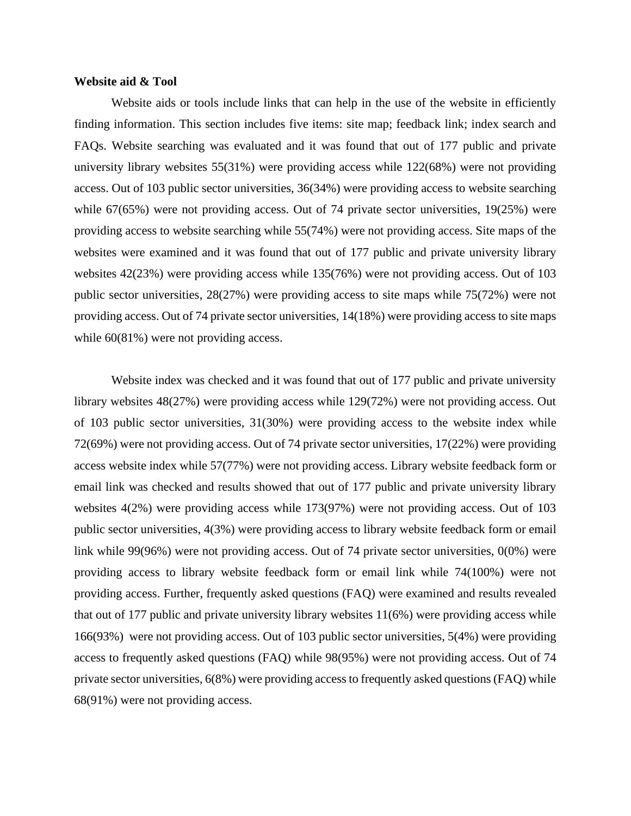#### **Website aid & Tool**

Website aids or tools include links that can help in the use of the website in efficiently finding information. This section includes five items: site map; feedback link; index search and FAQs. Website searching was evaluated and it was found that out of 177 public and private university library websites 55(31%) were providing access while 122(68%) were not providing access. Out of 103 public sector universities, 36(34%) were providing access to website searching while 67(65%) were not providing access. Out of 74 private sector universities, 19(25%) were providing access to website searching while 55(74%) were not providing access. Site maps of the websites were examined and it was found that out of 177 public and private university library websites 42(23%) were providing access while 135(76%) were not providing access. Out of 103 public sector universities, 28(27%) were providing access to site maps while 75(72%) were not providing access. Out of 74 private sector universities, 14(18%) were providing access to site maps while  $60(81\%)$  were not providing access.

Website index was checked and it was found that out of 177 public and private university library websites 48(27%) were providing access while 129(72%) were not providing access. Out of 103 public sector universities, 31(30%) were providing access to the website index while 72(69%) were not providing access. Out of 74 private sector universities, 17(22%) were providing access website index while 57(77%) were not providing access. Library website feedback form or email link was checked and results showed that out of 177 public and private university library websites 4(2%) were providing access while 173(97%) were not providing access. Out of 103 public sector universities, 4(3%) were providing access to library website feedback form or email link while 99(96%) were not providing access. Out of 74 private sector universities, 0(0%) were providing access to library website feedback form or email link while 74(100%) were not providing access. Further, frequently asked questions (FAQ) were examined and results revealed that out of 177 public and private university library websites 11(6%) were providing access while 166(93%) were not providing access. Out of 103 public sector universities, 5(4%) were providing access to frequently asked questions (FAQ) while 98(95%) were not providing access. Out of 74 private sector universities, 6(8%) were providing access to frequently asked questions (FAQ) while 68(91%) were not providing access.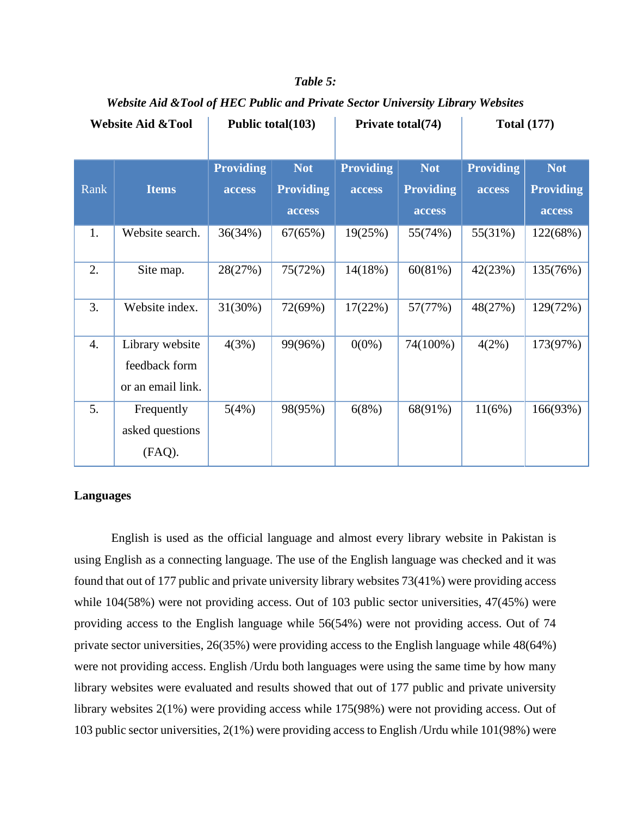| <b>Website Aid &amp;Tool</b> |                   | Public total(103) |                  | Private total(74) |                  | <b>Total (177)</b> |                  |
|------------------------------|-------------------|-------------------|------------------|-------------------|------------------|--------------------|------------------|
|                              |                   |                   |                  |                   |                  |                    |                  |
|                              |                   | <b>Providing</b>  | <b>Not</b>       | <b>Providing</b>  | <b>Not</b>       | <b>Providing</b>   | <b>Not</b>       |
| Rank                         | <b>Items</b>      | access            | <b>Providing</b> | <b>access</b>     | <b>Providing</b> | access             | <b>Providing</b> |
|                              |                   |                   | access           |                   | access           |                    | access           |
| 1.                           | Website search.   | 36(34%)           | 67(65%)          | 19(25%)           | 55(74%)          | 55(31%)            | 122(68%)         |
|                              |                   |                   |                  |                   |                  |                    |                  |
| 2.                           | Site map.         | 28(27%)           | 75(72%)          | 14(18%)           | 60(81%)          | 42(23%)            | 135(76%)         |
|                              |                   |                   |                  |                   |                  |                    |                  |
| 3.                           | Website index.    | $31(30\%)$        | 72(69%)          | 17(22%)           | 57(77%)          | 48(27%)            | 129(72%)         |
| 4.                           | Library website   | 4(3%)             | 99(96%)          | $0(0\%)$          | 74(100%)         | 4(2%)              | 173(97%)         |
|                              | feedback form     |                   |                  |                   |                  |                    |                  |
|                              | or an email link. |                   |                  |                   |                  |                    |                  |
| 5.                           | Frequently        | 5(4%)             | 98(95%)          | 6(8%)             | 68(91%)          | 11(6%)             | 166(93%)         |
|                              | asked questions   |                   |                  |                   |                  |                    |                  |
|                              | (FAQ).            |                   |                  |                   |                  |                    |                  |

## *Table 5:*

*Website Aid &Tool of HEC Public and Private Sector University Library Websites*

## **Languages**

English is used as the official language and almost every library website in Pakistan is using English as a connecting language. The use of the English language was checked and it was found that out of 177 public and private university library websites 73(41%) were providing access while 104(58%) were not providing access. Out of 103 public sector universities, 47(45%) were providing access to the English language while 56(54%) were not providing access. Out of 74 private sector universities, 26(35%) were providing access to the English language while 48(64%) were not providing access. English /Urdu both languages were using the same time by how many library websites were evaluated and results showed that out of 177 public and private university library websites 2(1%) were providing access while 175(98%) were not providing access. Out of 103 public sector universities, 2(1%) were providing access to English /Urdu while 101(98%) were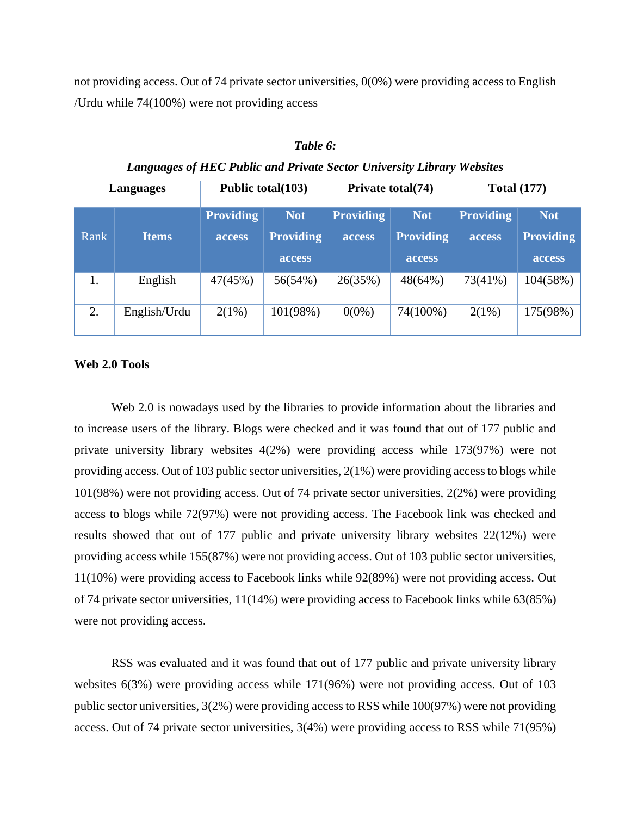not providing access. Out of 74 private sector universities, 0(0%) were providing access to English /Urdu while 74(100%) were not providing access

| Languages |              | Public total(103) |                  |                  | Private total(74) | <b>Total (177)</b> |                  |
|-----------|--------------|-------------------|------------------|------------------|-------------------|--------------------|------------------|
|           |              | <b>Providing</b>  | <b>Not</b>       | <b>Providing</b> | <b>Not</b>        | <b>Providing</b>   | <b>Not</b>       |
| Rank      | <b>Items</b> | access            | <b>Providing</b> | access           | <b>Providing</b>  | access             | <b>Providing</b> |
|           |              |                   | access           |                  | access            |                    | access           |
| 1.        | English      | 47(45%)           | 56(54%)          | 26(35%)          | 48(64%)           | 73(41%)            | 104(58%)         |
| 2.        | English/Urdu | 2(1%)             | 101(98%)         | $0(0\%)$         | 74(100%)          | 2(1%)              | 175(98%)         |

| Table 6:                                                               |  |
|------------------------------------------------------------------------|--|
| Languages of HEC Public and Private Sector University Library Websites |  |

#### **Web 2.0 Tools**

Web 2.0 is nowadays used by the libraries to provide information about the libraries and to increase users of the library. Blogs were checked and it was found that out of 177 public and private university library websites 4(2%) were providing access while 173(97%) were not providing access. Out of 103 public sector universities, 2(1%) were providing access to blogs while 101(98%) were not providing access. Out of 74 private sector universities, 2(2%) were providing access to blogs while 72(97%) were not providing access. The Facebook link was checked and results showed that out of 177 public and private university library websites 22(12%) were providing access while 155(87%) were not providing access. Out of 103 public sector universities, 11(10%) were providing access to Facebook links while 92(89%) were not providing access. Out of 74 private sector universities, 11(14%) were providing access to Facebook links while 63(85%) were not providing access.

RSS was evaluated and it was found that out of 177 public and private university library websites 6(3%) were providing access while 171(96%) were not providing access. Out of 103 public sector universities, 3(2%) were providing access to RSS while 100(97%) were not providing access. Out of 74 private sector universities, 3(4%) were providing access to RSS while 71(95%)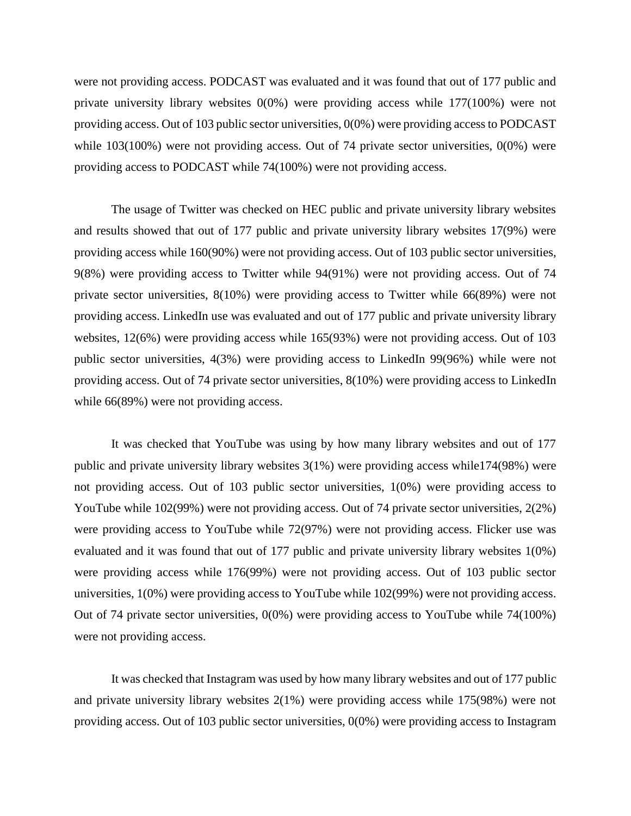were not providing access. PODCAST was evaluated and it was found that out of 177 public and private university library websites 0(0%) were providing access while 177(100%) were not providing access. Out of 103 public sector universities, 0(0%) were providing access to PODCAST while 103(100%) were not providing access. Out of 74 private sector universities, 0(0%) were providing access to PODCAST while 74(100%) were not providing access.

The usage of Twitter was checked on HEC public and private university library websites and results showed that out of 177 public and private university library websites 17(9%) were providing access while 160(90%) were not providing access. Out of 103 public sector universities, 9(8%) were providing access to Twitter while 94(91%) were not providing access. Out of 74 private sector universities, 8(10%) were providing access to Twitter while 66(89%) were not providing access. LinkedIn use was evaluated and out of 177 public and private university library websites, 12(6%) were providing access while 165(93%) were not providing access. Out of 103 public sector universities, 4(3%) were providing access to LinkedIn 99(96%) while were not providing access. Out of 74 private sector universities, 8(10%) were providing access to LinkedIn while  $66(89%)$  were not providing access.

It was checked that YouTube was using by how many library websites and out of 177 public and private university library websites 3(1%) were providing access while174(98%) were not providing access. Out of 103 public sector universities, 1(0%) were providing access to YouTube while 102(99%) were not providing access. Out of 74 private sector universities, 2(2%) were providing access to YouTube while 72(97%) were not providing access. Flicker use was evaluated and it was found that out of 177 public and private university library websites 1(0%) were providing access while 176(99%) were not providing access. Out of 103 public sector universities, 1(0%) were providing access to YouTube while 102(99%) were not providing access. Out of 74 private sector universities, 0(0%) were providing access to YouTube while 74(100%) were not providing access.

It was checked that Instagram was used by how many library websites and out of 177 public and private university library websites 2(1%) were providing access while 175(98%) were not providing access. Out of 103 public sector universities, 0(0%) were providing access to Instagram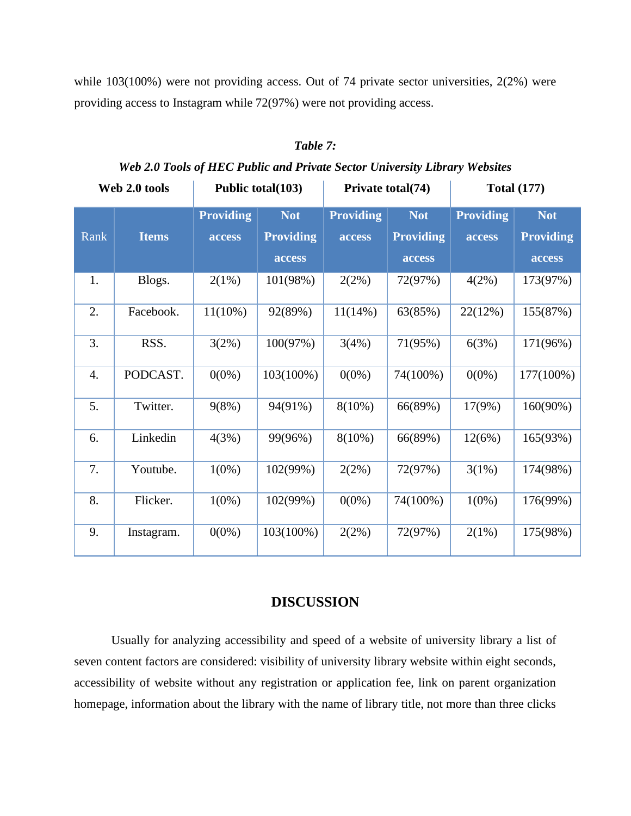while 103(100%) were not providing access. Out of 74 private sector universities, 2(2%) were providing access to Instagram while 72(97%) were not providing access.

## *Table 7:*

*Web 2.0 Tools of HEC Public and Private Sector University Library Websites*

| Web 2.0 tools    |              | Public total(103)                 |                                          | Private total(74)          |                                   | <b>Total (177)</b>                |                                          |
|------------------|--------------|-----------------------------------|------------------------------------------|----------------------------|-----------------------------------|-----------------------------------|------------------------------------------|
| Rank             | <b>Items</b> | <b>Providing</b><br><b>access</b> | <b>Not</b><br><b>Providing</b><br>access | <b>Providing</b><br>access | Not<br><b>Providing</b><br>access | <b>Providing</b><br><b>access</b> | <b>Not</b><br><b>Providing</b><br>access |
| 1.               | Blogs.       | 2(1%)                             | 101(98%)                                 | 2(2%)                      | 72(97%)                           | 4(2%)                             | 173(97%)                                 |
| 2.               | Facebook.    | $11(10\%)$                        | 92(89%)                                  | $11(14\%)$                 | 63(85%)                           | 22(12%)                           | 155(87%)                                 |
| 3.               | RSS.         | 3(2%)                             | 100(97%)                                 | 3(4%)                      | 71(95%)                           | 6(3%)                             | 171(96%)                                 |
| $\overline{4}$ . | PODCAST.     | $0(0\%)$                          | 103(100%)                                | $0(0\%)$                   | 74(100%)                          | $0(0\%)$                          | 177(100%)                                |
| 5.               | Twitter.     | 9(8%)                             | 94(91%)                                  | $8(10\%)$                  | 66(89%)                           | 17(9%)                            | $160(90\%)$                              |
| 6.               | Linkedin     | 4(3%)                             | 99(96%)                                  | $8(10\%)$                  | 66(89%)                           | 12(6%)                            | 165(93%)                                 |
| 7.               | Youtube.     | $1(0\%)$                          | 102(99%)                                 | 2(2%)                      | 72(97%)                           | 3(1%)                             | 174(98%)                                 |
| 8.               | Flicker.     | $1(0\%)$                          | 102(99%)                                 | $0(0\%)$                   | 74(100%)                          | $1(0\%)$                          | 176(99%)                                 |
| 9.               | Instagram.   | $0(0\%)$                          | 103(100%)                                | 2(2%)                      | 72(97%)                           | 2(1%)                             | 175(98%)                                 |

## **DISCUSSION**

Usually for analyzing accessibility and speed of a website of university library a list of seven content factors are considered: visibility of university library website within eight seconds, accessibility of website without any registration or application fee, link on parent organization homepage, information about the library with the name of library title, not more than three clicks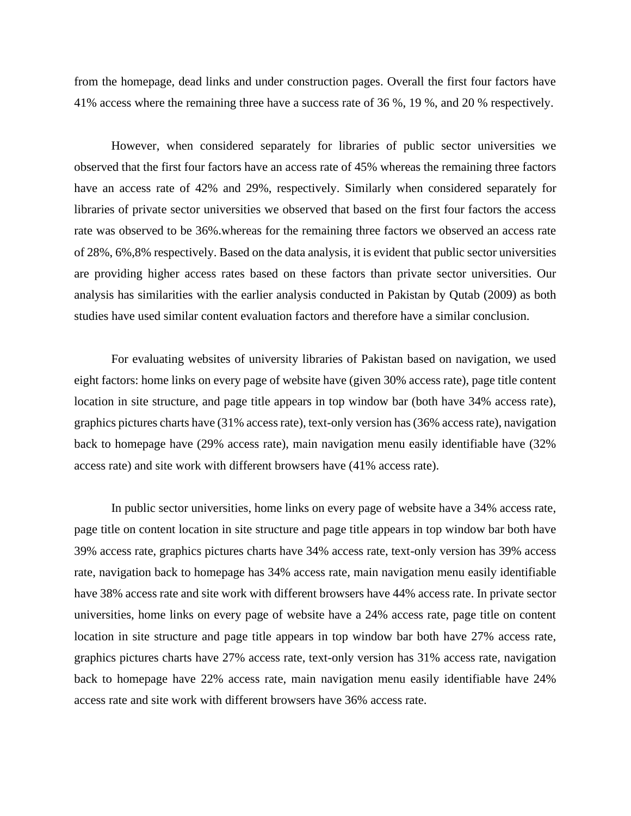from the homepage, dead links and under construction pages. Overall the first four factors have 41% access where the remaining three have a success rate of 36 %, 19 %, and 20 % respectively.

However, when considered separately for libraries of public sector universities we observed that the first four factors have an access rate of 45% whereas the remaining three factors have an access rate of 42% and 29%, respectively. Similarly when considered separately for libraries of private sector universities we observed that based on the first four factors the access rate was observed to be 36%.whereas for the remaining three factors we observed an access rate of 28%, 6%,8% respectively. Based on the data analysis, it is evident that public sector universities are providing higher access rates based on these factors than private sector universities. Our analysis has similarities with the earlier analysis conducted in Pakistan by Qutab (2009) as both studies have used similar content evaluation factors and therefore have a similar conclusion.

For evaluating websites of university libraries of Pakistan based on navigation, we used eight factors: home links on every page of website have (given 30% access rate), page title content location in site structure, and page title appears in top window bar (both have 34% access rate), graphics pictures charts have (31% access rate), text-only version has (36% access rate), navigation back to homepage have (29% access rate), main navigation menu easily identifiable have (32% access rate) and site work with different browsers have (41% access rate).

In public sector universities, home links on every page of website have a 34% access rate, page title on content location in site structure and page title appears in top window bar both have 39% access rate, graphics pictures charts have 34% access rate, text-only version has 39% access rate, navigation back to homepage has 34% access rate, main navigation menu easily identifiable have 38% access rate and site work with different browsers have 44% access rate. In private sector universities, home links on every page of website have a 24% access rate, page title on content location in site structure and page title appears in top window bar both have 27% access rate, graphics pictures charts have 27% access rate, text-only version has 31% access rate, navigation back to homepage have 22% access rate, main navigation menu easily identifiable have 24% access rate and site work with different browsers have 36% access rate.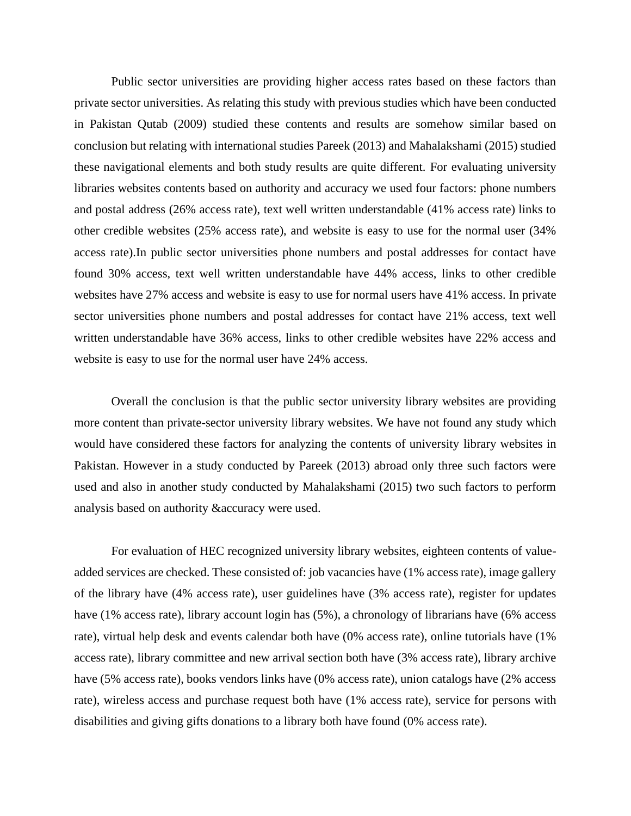Public sector universities are providing higher access rates based on these factors than private sector universities. As relating this study with previous studies which have been conducted in Pakistan Qutab (2009) studied these contents and results are somehow similar based on conclusion but relating with international studies Pareek (2013) and Mahalakshami (2015) studied these navigational elements and both study results are quite different. For evaluating university libraries websites contents based on authority and accuracy we used four factors: phone numbers and postal address (26% access rate), text well written understandable (41% access rate) links to other credible websites (25% access rate), and website is easy to use for the normal user (34% access rate).In public sector universities phone numbers and postal addresses for contact have found 30% access, text well written understandable have 44% access, links to other credible websites have 27% access and website is easy to use for normal users have 41% access. In private sector universities phone numbers and postal addresses for contact have 21% access, text well written understandable have 36% access, links to other credible websites have 22% access and website is easy to use for the normal user have 24% access.

Overall the conclusion is that the public sector university library websites are providing more content than private-sector university library websites. We have not found any study which would have considered these factors for analyzing the contents of university library websites in Pakistan. However in a study conducted by Pareek (2013) abroad only three such factors were used and also in another study conducted by Mahalakshami (2015) two such factors to perform analysis based on authority &accuracy were used.

For evaluation of HEC recognized university library websites, eighteen contents of valueadded services are checked. These consisted of: job vacancies have (1% access rate), image gallery of the library have (4% access rate), user guidelines have (3% access rate), register for updates have (1% access rate), library account login has (5%), a chronology of librarians have (6% access rate), virtual help desk and events calendar both have (0% access rate), online tutorials have (1% access rate), library committee and new arrival section both have (3% access rate), library archive have (5% access rate), books vendors links have (0% access rate), union catalogs have (2% access rate), wireless access and purchase request both have (1% access rate), service for persons with disabilities and giving gifts donations to a library both have found (0% access rate).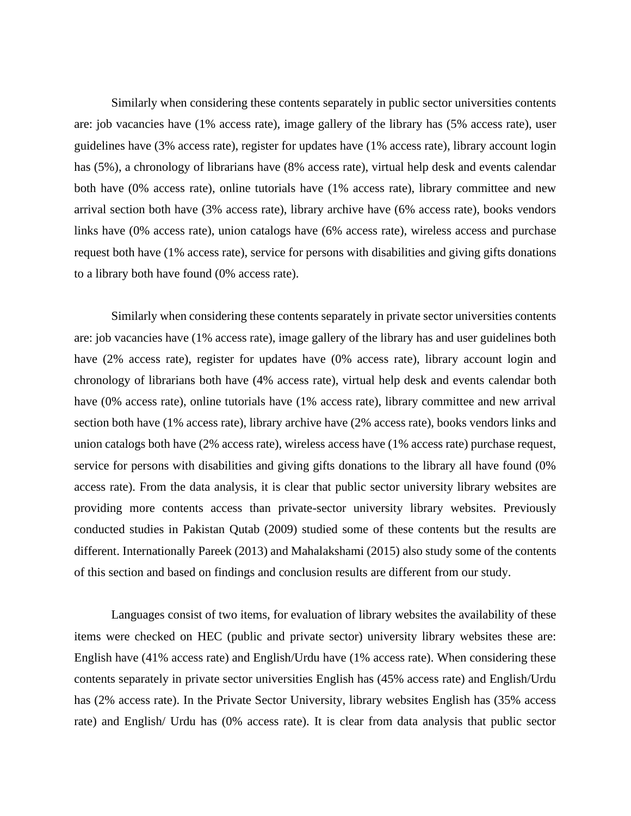Similarly when considering these contents separately in public sector universities contents are: job vacancies have (1% access rate), image gallery of the library has (5% access rate), user guidelines have (3% access rate), register for updates have (1% access rate), library account login has (5%), a chronology of librarians have (8% access rate), virtual help desk and events calendar both have (0% access rate), online tutorials have (1% access rate), library committee and new arrival section both have (3% access rate), library archive have (6% access rate), books vendors links have (0% access rate), union catalogs have (6% access rate), wireless access and purchase request both have (1% access rate), service for persons with disabilities and giving gifts donations to a library both have found (0% access rate).

Similarly when considering these contents separately in private sector universities contents are: job vacancies have (1% access rate), image gallery of the library has and user guidelines both have (2% access rate), register for updates have (0% access rate), library account login and chronology of librarians both have (4% access rate), virtual help desk and events calendar both have (0% access rate), online tutorials have (1% access rate), library committee and new arrival section both have (1% access rate), library archive have (2% access rate), books vendors links and union catalogs both have (2% access rate), wireless access have (1% access rate) purchase request, service for persons with disabilities and giving gifts donations to the library all have found (0% access rate). From the data analysis, it is clear that public sector university library websites are providing more contents access than private-sector university library websites. Previously conducted studies in Pakistan Qutab (2009) studied some of these contents but the results are different. Internationally Pareek (2013) and Mahalakshami (2015) also study some of the contents of this section and based on findings and conclusion results are different from our study.

Languages consist of two items, for evaluation of library websites the availability of these items were checked on HEC (public and private sector) university library websites these are: English have (41% access rate) and English/Urdu have (1% access rate). When considering these contents separately in private sector universities English has (45% access rate) and English/Urdu has (2% access rate). In the Private Sector University, library websites English has (35% access rate) and English/ Urdu has (0% access rate). It is clear from data analysis that public sector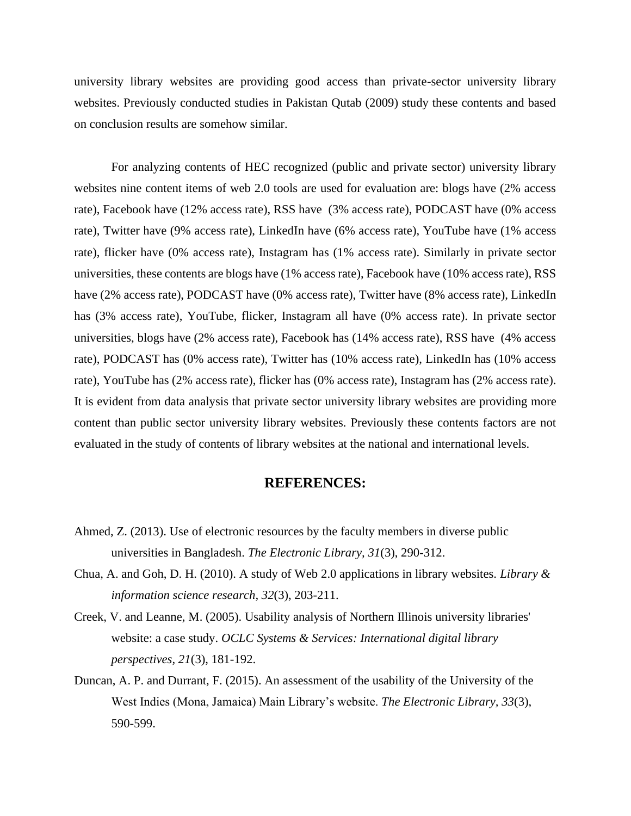university library websites are providing good access than private-sector university library websites. Previously conducted studies in Pakistan Qutab (2009) study these contents and based on conclusion results are somehow similar.

For analyzing contents of HEC recognized (public and private sector) university library websites nine content items of web 2.0 tools are used for evaluation are: blogs have (2% access rate), Facebook have (12% access rate), RSS have (3% access rate), PODCAST have (0% access rate), Twitter have (9% access rate), LinkedIn have (6% access rate), YouTube have (1% access rate), flicker have (0% access rate), Instagram has (1% access rate). Similarly in private sector universities, these contents are blogs have (1% access rate), Facebook have (10% access rate), RSS have (2% access rate), PODCAST have (0% access rate), Twitter have (8% access rate), LinkedIn has (3% access rate), YouTube, flicker, Instagram all have (0% access rate). In private sector universities, blogs have (2% access rate), Facebook has (14% access rate), RSS have (4% access rate), PODCAST has (0% access rate), Twitter has (10% access rate), LinkedIn has (10% access rate), YouTube has (2% access rate), flicker has (0% access rate), Instagram has (2% access rate). It is evident from data analysis that private sector university library websites are providing more content than public sector university library websites. Previously these contents factors are not evaluated in the study of contents of library websites at the national and international levels.

## **REFERENCES:**

- Ahmed, Z. (2013). Use of electronic resources by the faculty members in diverse public universities in Bangladesh. *The Electronic Library, 31*(3), 290-312.
- Chua, A. and Goh, D. H. (2010). A study of Web 2.0 applications in library websites. *Library & information science research, 32*(3), 203-211.
- Creek, V. and Leanne, M. (2005). Usability analysis of Northern Illinois university libraries' website: a case study. *OCLC Systems & Services: International digital library perspectives, 21*(3), 181-192.
- Duncan, A. P. and Durrant, F. (2015). An assessment of the usability of the University of the West Indies (Mona, Jamaica) Main Library's website. *The Electronic Library, 33*(3), 590-599.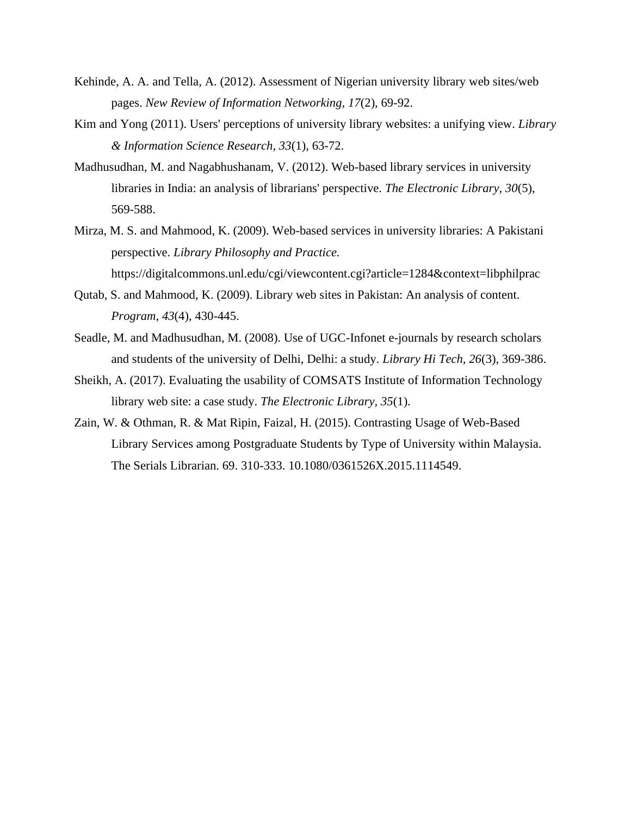- Kehinde, A. A. and Tella, A. (2012). Assessment of Nigerian university library web sites/web pages. *New Review of Information Networking, 17*(2), 69-92.
- Kim and Yong (2011). Users' perceptions of university library websites: a unifying view. *Library & Information Science Research, 33*(1), 63-72.
- Madhusudhan, M. and Nagabhushanam, V. (2012). Web-based library services in university libraries in India: an analysis of librarians' perspective. *The Electronic Library, 30*(5), 569-588.
- Mirza, M. S. and Mahmood, K. (2009). Web-based services in university libraries: A Pakistani perspective. *Library Philosophy and Practice.*  https://digitalcommons.unl.edu/cgi/viewcontent.cgi?article=1284&context=libphilprac
- Qutab, S. and Mahmood, K. (2009). Library web sites in Pakistan: An analysis of content. *Program, 43*(4), 430-445.
- Seadle, M. and Madhusudhan, M. (2008). Use of UGC-Infonet e-journals by research scholars and students of the university of Delhi, Delhi: a study. *Library Hi Tech, 26*(3), 369-386.
- Sheikh, A. (2017). Evaluating the usability of COMSATS Institute of Information Technology library web site: a case study. *The Electronic Library, 35*(1).
- Zain, W. & Othman, R. & Mat Ripin, Faizal, H. (2015). Contrasting Usage of Web-Based Library Services among Postgraduate Students by Type of University within Malaysia. The Serials Librarian. 69. 310-333. 10.1080/0361526X.2015.1114549.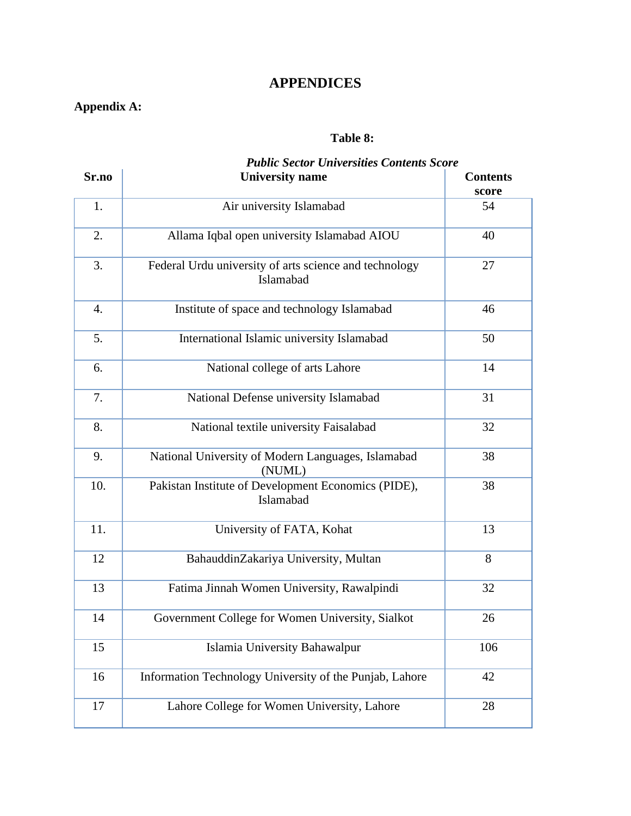## **APPENDICES**

## **Appendix A:**

## **Table 8:**

# *Public Sector Universities Contents Score*

| Sr.no            | <b>University name</b>                                              | <b>Contents</b><br>score |
|------------------|---------------------------------------------------------------------|--------------------------|
| 1.               | Air university Islamabad                                            | 54                       |
| 2.               | Allama Iqbal open university Islamabad AIOU                         | 40                       |
| 3.               | Federal Urdu university of arts science and technology<br>Islamabad | 27                       |
| $\overline{4}$ . | Institute of space and technology Islamabad                         | 46                       |
| 5.               | International Islamic university Islamabad                          | 50                       |
| 6.               | National college of arts Lahore                                     | 14                       |
| 7.               | National Defense university Islamabad                               | 31                       |
| 8.               | National textile university Faisalabad                              | 32                       |
| 9.               | National University of Modern Languages, Islamabad<br>(NUML)        | 38                       |
| 10.              | Pakistan Institute of Development Economics (PIDE),<br>Islamabad    | 38                       |
| 11.              | University of FATA, Kohat                                           | 13                       |
| 12               | BahauddinZakariya University, Multan                                | 8                        |
| 13               | Fatima Jinnah Women University, Rawalpindi                          | 32                       |
| 14               | Government College for Women University, Sialkot                    | 26                       |
| 15               | Islamia University Bahawalpur                                       | 106                      |
| 16               | Information Technology University of the Punjab, Lahore             | 42                       |
| 17               | Lahore College for Women University, Lahore                         | 28                       |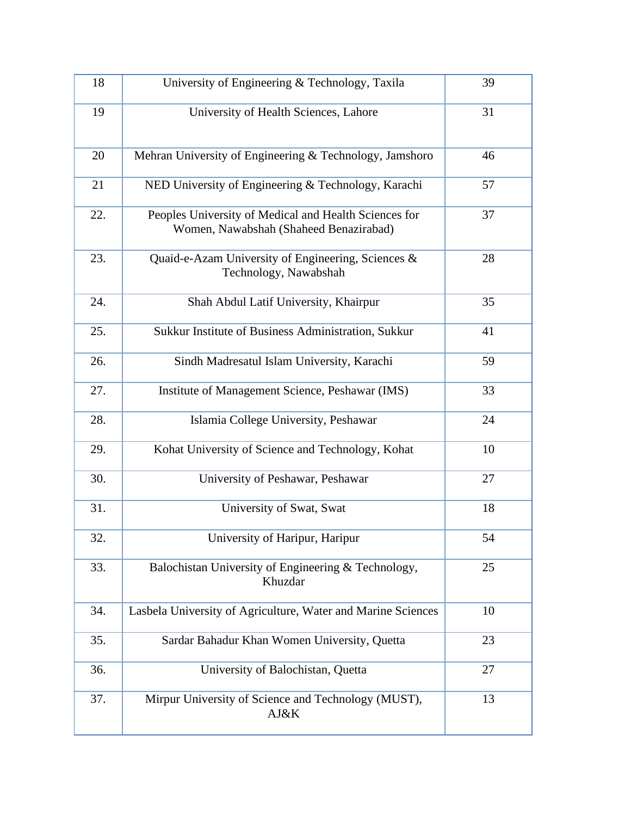| 18  | University of Engineering & Technology, Taxila                                                  | 39 |
|-----|-------------------------------------------------------------------------------------------------|----|
| 19  | University of Health Sciences, Lahore                                                           | 31 |
| 20  | Mehran University of Engineering & Technology, Jamshoro                                         | 46 |
| 21  | NED University of Engineering & Technology, Karachi                                             | 57 |
| 22. | Peoples University of Medical and Health Sciences for<br>Women, Nawabshah (Shaheed Benazirabad) | 37 |
| 23. | Quaid-e-Azam University of Engineering, Sciences &<br>Technology, Nawabshah                     | 28 |
| 24. | Shah Abdul Latif University, Khairpur                                                           | 35 |
| 25. | Sukkur Institute of Business Administration, Sukkur                                             | 41 |
| 26. | Sindh Madresatul Islam University, Karachi                                                      | 59 |
| 27. | Institute of Management Science, Peshawar (IMS)                                                 | 33 |
| 28. | Islamia College University, Peshawar                                                            | 24 |
| 29. | Kohat University of Science and Technology, Kohat                                               | 10 |
| 30. | University of Peshawar, Peshawar                                                                | 27 |
| 31. | University of Swat, Swat                                                                        | 18 |
| 32. | University of Haripur, Haripur                                                                  | 54 |
| 33. | Balochistan University of Engineering & Technology,<br>Khuzdar                                  | 25 |
| 34. | Lasbela University of Agriculture, Water and Marine Sciences                                    | 10 |
| 35. | Sardar Bahadur Khan Women University, Quetta                                                    | 23 |
| 36. | University of Balochistan, Quetta                                                               | 27 |
| 37. | Mirpur University of Science and Technology (MUST),<br>AJ&K                                     | 13 |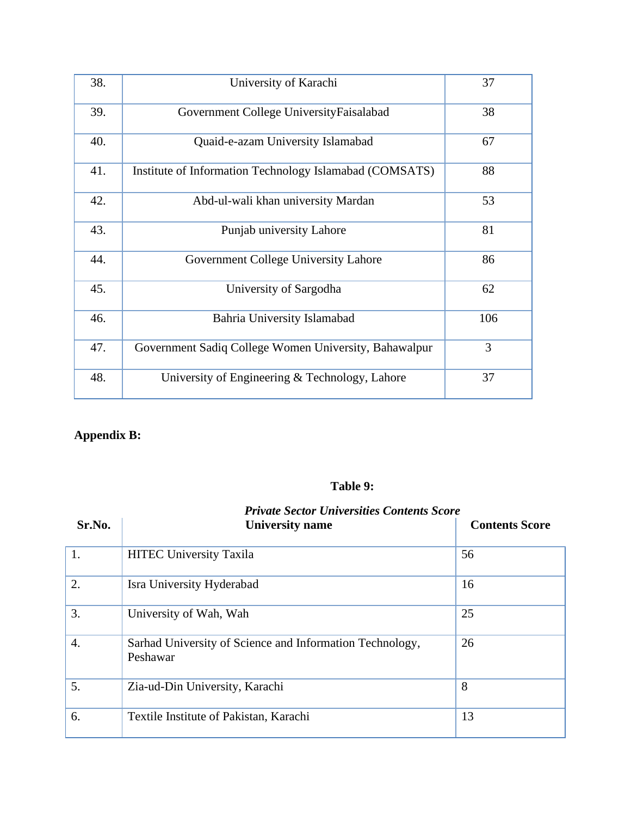| 38. | University of Karachi                                   | 37  |
|-----|---------------------------------------------------------|-----|
| 39. | Government College UniversityFaisalabad                 | 38  |
| 40. | Quaid-e-azam University Islamabad                       | 67  |
| 41. | Institute of Information Technology Islamabad (COMSATS) | 88  |
| 42. | Abd-ul-wali khan university Mardan                      | 53  |
| 43. | Punjab university Lahore                                | 81  |
| 44. | Government College University Lahore                    | 86  |
| 45. | University of Sargodha                                  | 62  |
| 46. | Bahria University Islamabad                             | 106 |
| 47. | Government Sadiq College Women University, Bahawalpur   | 3   |
| 48. | University of Engineering & Technology, Lahore          | 37  |

## **Appendix B:**

## **Table 9:**

| <b>Private Sector Universities Contents Score</b> |                                                                      |                       |  |
|---------------------------------------------------|----------------------------------------------------------------------|-----------------------|--|
| Sr.No.                                            | <b>University name</b>                                               | <b>Contents Score</b> |  |
| 1.                                                | <b>HITEC University Taxila</b>                                       | 56                    |  |
| 2.                                                | Isra University Hyderabad                                            | 16                    |  |
| 3.                                                | University of Wah, Wah                                               | 25                    |  |
| 4.                                                | Sarhad University of Science and Information Technology,<br>Peshawar | 26                    |  |
| 5.                                                | Zia-ud-Din University, Karachi                                       | 8                     |  |
| 6.                                                | Textile Institute of Pakistan, Karachi                               | 13                    |  |